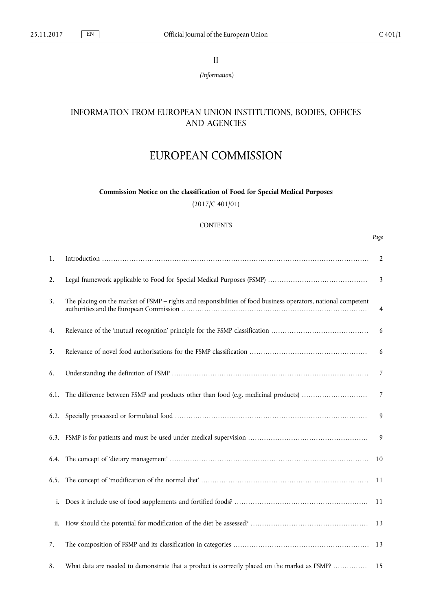*Page*

II

*(Information)*

# INFORMATION FROM EUROPEAN UNION INSTITUTIONS, BODIES, OFFICES AND AGENCIES

# EUROPEAN COMMISSION

**Commission Notice on the classification of Food for Special Medical Purposes** (2017/C 401/01)

# **CONTENTS**

| 1.   |                                                                                                                | $\overline{2}$          |
|------|----------------------------------------------------------------------------------------------------------------|-------------------------|
| 2.   |                                                                                                                | $\overline{\mathbf{3}}$ |
| 3.   | The placing on the market of FSMP - rights and responsibilities of food business operators, national competent | 4                       |
| 4.   |                                                                                                                | 6                       |
| 5.   |                                                                                                                | 6                       |
| 6.   |                                                                                                                | $\overline{7}$          |
| 6.1. | The difference between FSMP and products other than food (e.g. medicinal products)                             | $\overline{7}$          |
|      |                                                                                                                | 9                       |
|      |                                                                                                                | 9                       |
|      |                                                                                                                | 10                      |
|      |                                                                                                                | 11                      |
| i.   |                                                                                                                | -11                     |
| ii.  |                                                                                                                | 13                      |
| 7.   |                                                                                                                |                         |
| 8.   | What data are needed to demonstrate that a product is correctly placed on the market as FSMP?                  | 15                      |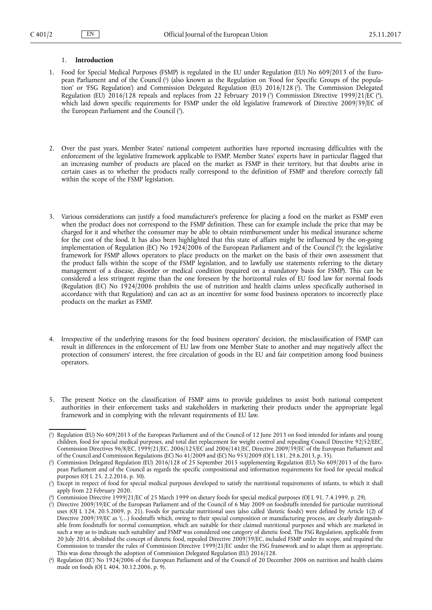#### <span id="page-1-0"></span>1. **Introduction**

- 1. Food for Special Medical Purposes (FSMP) is regulated in the EU under Regulation (EU) No 609/2013 of the European Parliament and of the Council ( 1 ) (also known as the Regulation on 'Food for Specific Groups of the population' or 'FSG Regulation') and Commission Delegated Regulation (EU) 2016/128 ( 2 ). The Commission Delegated Regulation (EU) 2016/128 repeals and replaces from 22 February 2019 (3) Commission Directive 1999/21/EC (4), which laid down specific requirements for FSMP under the old legislative framework of Directive 2009/39/EC of the European Parliament and the Council ( 5 ).
- 2. Over the past years, Member States' national competent authorities have reported increasing difficulties with the enforcement of the legislative framework applicable to FSMP. Member States' experts have in particular flagged that an increasing number of products are placed on the market as FSMP in their territory, but that doubts arise in certain cases as to whether the products really correspond to the definition of FSMP and therefore correctly fall within the scope of the FSMP legislation.
- 3. Various considerations can justify a food manufacturer's preference for placing a food on the market as FSMP even when the product does not correspond to the FSMP definition. These can for example include the price that may be charged for it and whether the consumer may be able to obtain reimbursement under his medical insurance scheme for the cost of the food. It has also been highlighted that this state of affairs might be influenced by the on-going implementation of Regulation (EC) No 1924/2006 of the European Parliament and of the Council ( 6 ): the legislative framework for FSMP allows operators to place products on the market on the basis of their own assessment that the product falls within the scope of the FSMP legislation, and to lawfully use statements referring to the dietary management of a disease, disorder or medical condition (required on a mandatory basis for FSMP). This can be considered a less stringent regime than the one foreseen by the horizontal rules of EU food law for normal foods (Regulation (EC) No 1924/2006 prohibits the use of nutrition and health claims unless specifically authorised in accordance with that Regulation) and can act as an incentive for some food business operators to incorrectly place products on the market as FSMP.
- 4. Irrespective of the underlying reasons for the food business operators' decision, the misclassification of FSMP can result in differences in the enforcement of EU law from one Member State to another and may negatively affect the protection of consumers' interest, the free circulation of goods in the EU and fair competition among food business operators.
- 5. The present Notice on the classification of FSMP aims to provide guidelines to assist both national competent authorities in their enforcement tasks and stakeholders in marketing their products under the appropriate legal framework and in complying with the relevant requirements of EU law.

<sup>(</sup> 1 ) Regulation (EU) No 609/2013 of the European Parliament and of the Council of 12 June 2013 on food intended for infants and young children, food for special medical purposes, and total diet replacement for weight control and repealing Council Directive 92/52/EEC, Commission Directives 96/8/EC, 1999/21/EC, 2006/125/EC and 2006/141/EC, Directive 2009/39/EC of the European Parliament and of the Council and Commission Regulations (EC) No 41/2009 and (EC) No 953/2009 (OJ L 181, 29.6.2013, p. 35).

<sup>(</sup> 2 ) Commission Delegated Regulation (EU) 2016/128 of 25 September 2015 supplementing Regulation (EU) No 609/2013 of the European Parliament and of the Council as regards the specific compositional and information requirements for food for special medical purposes (OJ L 25, 2.2.2016, p. 30).

<sup>(</sup> 3 ) Except in respect of food for special medical purposes developed to satisfy the nutritional requirements of infants, to which it shall apply from 22 February 2020.

<sup>(</sup> 4 ) Commission Directive 1999/21/EC of 25 March 1999 on dietary foods for special medical purposes (OJ L 91, 7.4.1999, p. 29).

<sup>(</sup> 5 ) Directive 2009/39/EC of the European Parliament and of the Council of 6 May 2009 on foodstuffs intended for particular nutritional uses (OJ L 124, 20.5.2009, p. 21). Foods for particular nutritional uses (also called 'dietetic foods') were defined by Article 1(2) of Directive 2009/39/EC as '(...) foodstuffs which, owing to their special composition or manufacturing process, are clearly distinguishable from foodstuffs for normal consumption, which are suitable for their claimed nutritional purposes and which are marketed in such a way as to indicate such suitability' and FSMP was considered one category of dietetic food. The FSG Regulation, applicable from 20 July 2016, abolished the concept of dietetic food, repealed Directive 2009/39/EC, included FSMP under its scope, and required the Commission to transfer the rules of Commission Directive 1999/21/EC under the FSG framework and to adapt them as appropriate. This was done through the adoption of Commission Delegated Regulation (EU) 2016/128.

<sup>(</sup> 6 ) Regulation (EC) No 1924/2006 of the European Parliament and of the Council of 20 December 2006 on nutrition and health claims made on foods (OJ L 404, 30.12.2006, p. 9).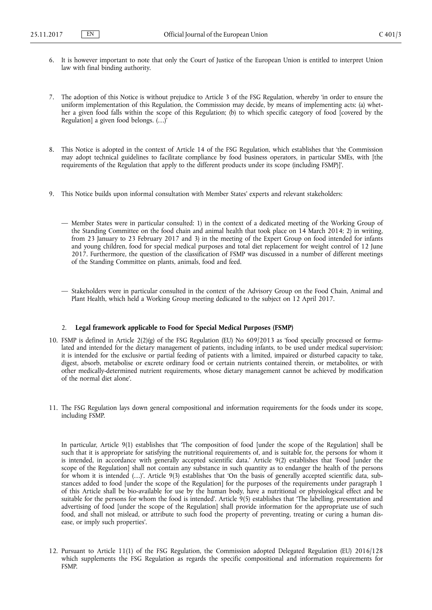- <span id="page-2-0"></span>6. It is however important to note that only the Court of Justice of the European Union is entitled to interpret Union law with final binding authority.
- 7. The adoption of this Notice is without prejudice to Article 3 of the FSG Regulation, whereby 'in order to ensure the uniform implementation of this Regulation, the Commission may decide, by means of implementing acts: (a) whether a given food falls within the scope of this Regulation; (b) to which specific category of food [covered by the Regulation] a given food belongs. (…)'
- 8. This Notice is adopted in the context of Article 14 of the FSG Regulation, which establishes that 'the Commission may adopt technical guidelines to facilitate compliance by food business operators, in particular SMEs, with [the requirements of the Regulation that apply to the different products under its scope (including FSMP)]'.
- 9. This Notice builds upon informal consultation with Member States' experts and relevant stakeholders:
	- Member States were in particular consulted: 1) in the context of a dedicated meeting of the Working Group of the Standing Committee on the food chain and animal health that took place on 14 March 2014; 2) in writing, from 23 January to 23 February 2017 and 3) in the meeting of the Expert Group on food intended for infants and young children, food for special medical purposes and total diet replacement for weight control of 12 June 2017. Furthermore, the question of the classification of FSMP was discussed in a number of different meetings of the Standing Committee on plants, animals, food and feed.
	- Stakeholders were in particular consulted in the context of the Advisory Group on the Food Chain, Animal and Plant Health, which held a Working Group meeting dedicated to the subject on 12 April 2017.

## 2. **Legal framework applicable to Food for Special Medical Purposes (FSMP)**

- 10. FSMP is defined in Article 2(2)(g) of the FSG Regulation (EU) No 609/2013 as 'food specially processed or formulated and intended for the dietary management of patients, including infants, to be used under medical supervision; it is intended for the exclusive or partial feeding of patients with a limited, impaired or disturbed capacity to take, digest, absorb, metabolise or excrete ordinary food or certain nutrients contained therein, or metabolites, or with other medically-determined nutrient requirements, whose dietary management cannot be achieved by modification of the normal diet alone'.
- 11. The FSG Regulation lays down general compositional and information requirements for the foods under its scope, including FSMP.

In particular, Article 9(1) establishes that 'The composition of food [under the scope of the Regulation] shall be such that it is appropriate for satisfying the nutritional requirements of, and is suitable for, the persons for whom it is intended, in accordance with generally accepted scientific data.' Article 9(2) establishes that 'Food [under the scope of the Regulation] shall not contain any substance in such quantity as to endanger the health of the persons for whom it is intended (…)'. Article 9(3) establishes that 'On the basis of generally accepted scientific data, substances added to food [under the scope of the Regulation] for the purposes of the requirements under paragraph 1 of this Article shall be bio-available for use by the human body, have a nutritional or physiological effect and be suitable for the persons for whom the food is intended'. Article 9(5) establishes that 'The labelling, presentation and advertising of food [under the scope of the Regulation] shall provide information for the appropriate use of such food, and shall not mislead, or attribute to such food the property of preventing, treating or curing a human disease, or imply such properties'.

12. Pursuant to Article 11(1) of the FSG Regulation, the Commission adopted Delegated Regulation (EU) 2016/128 which supplements the FSG Regulation as regards the specific compositional and information requirements for FSMP.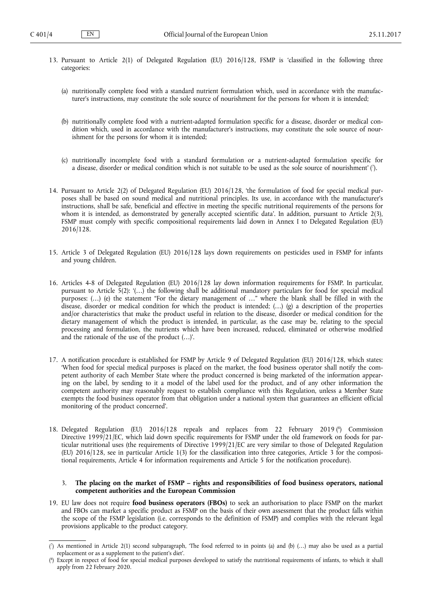- <span id="page-3-0"></span>13. Pursuant to Article 2(1) of Delegated Regulation (EU) 2016/128, FSMP is 'classified in the following three categories:
	- (a) nutritionally complete food with a standard nutrient formulation which, used in accordance with the manufacturer's instructions, may constitute the sole source of nourishment for the persons for whom it is intended;
	- (b) nutritionally complete food with a nutrient-adapted formulation specific for a disease, disorder or medical condition which, used in accordance with the manufacturer's instructions, may constitute the sole source of nourishment for the persons for whom it is intended;
	- (c) nutritionally incomplete food with a standard formulation or a nutrient-adapted formulation specific for a disease, disorder or medical condition which is not suitable to be used as the sole source of nourishment' ( 7 ).
- 14. Pursuant to Article 2(2) of Delegated Regulation (EU) 2016/128, 'the formulation of food for special medical purposes shall be based on sound medical and nutritional principles. Its use, in accordance with the manufacturer's instructions, shall be safe, beneficial and effective in meeting the specific nutritional requirements of the persons for whom it is intended, as demonstrated by generally accepted scientific data'. In addition, pursuant to Article 2(3), FSMP must comply with specific compositional requirements laid down in Annex I to Delegated Regulation (EU) 2016/128.
- 15. Article 3 of Delegated Regulation (EU) 2016/128 lays down requirements on pesticides used in FSMP for infants and young children.
- 16. Articles 4-8 of Delegated Regulation (EU) 2016/128 lay down information requirements for FSMP. In particular, pursuant to Article 5(2): '(…) the following shall be additional mandatory particulars for food for special medical purposes: (…) (e) the statement "For the dietary management of …" where the blank shall be filled in with the disease, disorder or medical condition for which the product is intended; (…) (g) a description of the properties and/or characteristics that make the product useful in relation to the disease, disorder or medical condition for the dietary management of which the product is intended, in particular, as the case may be, relating to the special processing and formulation, the nutrients which have been increased, reduced, eliminated or otherwise modified and the rationale of the use of the product (…)'.
- 17. A notification procedure is established for FSMP by Article 9 of Delegated Regulation (EU) 2016/128, which states: 'When food for special medical purposes is placed on the market, the food business operator shall notify the competent authority of each Member State where the product concerned is being marketed of the information appearing on the label, by sending to it a model of the label used for the product, and of any other information the competent authority may reasonably request to establish compliance with this Regulation, unless a Member State exempts the food business operator from that obligation under a national system that guarantees an efficient official monitoring of the product concerned'.
- 18. Delegated Regulation (EU) 2016/128 repeals and replaces from 22 February 2019 ( 8 ) Commission Directive 1999/21/EC, which laid down specific requirements for FSMP under the old framework on foods for particular nutritional uses (the requirements of Directive 1999/21/EC are very similar to those of Delegated Regulation (EU) 2016/128, see in particular Article 1(3) for the classification into three categories, Article 3 for the compositional requirements, Article 4 for information requirements and Article 5 for the notification procedure).

#### 3. **The placing on the market of FSMP – rights and responsibilities of food business operators, national competent authorities and the European Commission**

19. EU law does not require **food business operators (FBOs)** to seek an authorisation to place FSMP on the market and FBOs can market a specific product as FSMP on the basis of their own assessment that the product falls within the scope of the FSMP legislation (i.e. corresponds to the definition of FSMP) and complies with the relevant legal provisions applicable to the product category.

<sup>(</sup> 7 ) As mentioned in Article 2(1) second subparagraph, 'The food referred to in points (a) and (b) (…) may also be used as a partial replacement or as a supplement to the patient's diet'.

<sup>(</sup> 8 ) Except in respect of food for special medical purposes developed to satisfy the nutritional requirements of infants, to which it shall apply from 22 February 2020.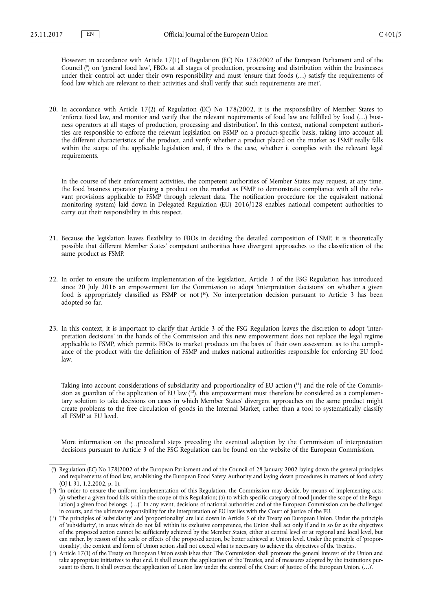However, in accordance with Article 17(1) of Regulation (EC) No 178/2002 of the European Parliament and of the Council ( 9 ) on 'general food law', FBOs at all stages of production, processing and distribution within the businesses under their control act under their own responsibility and must 'ensure that foods (...) satisfy the requirements of food law which are relevant to their activities and shall verify that such requirements are met'.

20. In accordance with Article 17(2) of Regulation (EC) No 178/2002, it is the responsibility of Member States to 'enforce food law, and monitor and verify that the relevant requirements of food law are fulfilled by food (…) business operators at all stages of production, processing and distribution'. In this context, national competent authorities are responsible to enforce the relevant legislation on FSMP on a product-specific basis, taking into account all the different characteristics of the product, and verify whether a product placed on the market as FSMP really falls within the scope of the applicable legislation and, if this is the case, whether it complies with the relevant legal requirements.

In the course of their enforcement activities, the competent authorities of Member States may request, at any time, the food business operator placing a product on the market as FSMP to demonstrate compliance with all the relevant provisions applicable to FSMP through relevant data. The notification procedure (or the equivalent national monitoring system) laid down in Delegated Regulation (EU) 2016/128 enables national competent authorities to carry out their responsibility in this respect.

- 21. Because the legislation leaves flexibility to FBOs in deciding the detailed composition of FSMP, it is theoretically possible that different Member States' competent authorities have divergent approaches to the classification of the same product as FSMP.
- 22. In order to ensure the uniform implementation of the legislation, Article 3 of the FSG Regulation has introduced since 20 July 2016 an empowerment for the Commission to adopt 'interpretation decisions' on whether a given food is appropriately classified as FSMP or not (<sup>10</sup>). No interpretation decision pursuant to Article 3 has been adopted so far.
- 23. In this context, it is important to clarify that Article 3 of the FSG Regulation leaves the discretion to adopt 'interpretation decisions' in the hands of the Commission and this new empowerment does not replace the legal regime applicable to FSMP, which permits FBOs to market products on the basis of their own assessment as to the compliance of the product with the definition of FSMP and makes national authorities responsible for enforcing EU food law.

Taking into account considerations of subsidiarity and proportionality of EU action ( 11) and the role of the Commission as guardian of the application of EU law  $(^{12})$ , this empowerment must therefore be considered as a complementary solution to take decisions on cases in which Member States' divergent approaches on the same product might create problems to the free circulation of goods in the Internal Market, rather than a tool to systematically classify all FSMP at EU level.

More information on the procedural steps preceding the eventual adoption by the Commission of interpretation decisions pursuant to Article 3 of the FSG Regulation can be found on the website of the European Commission.

<sup>(</sup> 9 ) Regulation (EC) No 178/2002 of the European Parliament and of the Council of 28 January 2002 laying down the general principles and requirements of food law, establishing the European Food Safety Authority and laying down procedures in matters of food safety (OJ L 31, 1.2.2002, p. 1).

<sup>(&</sup>lt;sup>10</sup>) 'In order to ensure the uniform implementation of this Regulation, the Commission may decide, by means of implementing acts: (a) whether a given food falls within the scope of this Regulation; (b) to which specific category of food [under the scope of the Regulation] a given food belongs. (…)'. In any event, decisions of national authorities and of the European Commission can be challenged in courts, and the ultimate responsibility for the interpretation of EU law lies with the Court of Justice of the EU.

<sup>(</sup> <sup>11</sup>) The principles of 'subsidiarity' and 'proportionality' are laid down in Article 5 of the Treaty on European Union. Under the principle of 'subsidiarity', in areas which do not fall within its exclusive competence, the Union shall act only if and in so far as the objectives of the proposed action cannot be sufficiently achieved by the Member States, either at central level or at regional and local level, but can rather, by reason of the scale or effects of the proposed action, be better achieved at Union level. Under the principle of 'proportionality', the content and form of Union action shall not exceed what is necessary to achieve the objectives of the Treaties.

 $(1<sup>2</sup>)$  Article 17(1) of the Treaty on European Union establishes that 'The Commission shall promote the general interest of the Union and take appropriate initiatives to that end. It shall ensure the application of the Treaties, and of measures adopted by the institutions pursuant to them. It shall oversee the application of Union law under the control of the Court of Justice of the European Union. (…)'.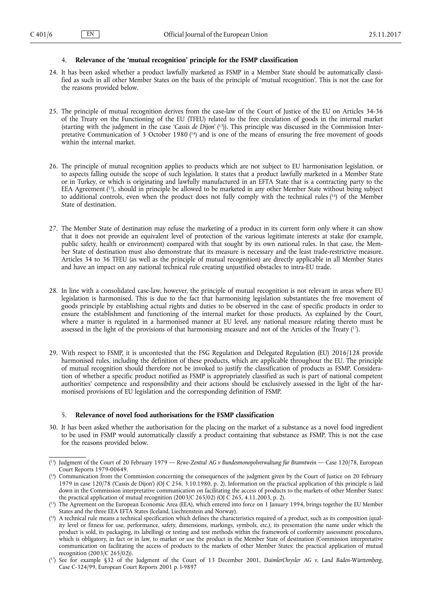#### <span id="page-5-0"></span>4. **Relevance of the 'mutual recognition' principle for the FSMP classification**

- 24. It has been asked whether a product lawfully marketed as FSMP in a Member State should be automatically classified as such in all other Member States on the basis of the principle of 'mutual recognition'. This is not the case for the reasons provided below.
- 25. The principle of mutual recognition derives from the case-law of the Court of Justice of the EU on Articles 34-36 of the Treaty on the Functioning of the EU (TFEU) related to the free circulation of goods in the internal market (starting with the judgment in the case '*Cassis de Dijon*' ( 13)). This principle was discussed in the Commission Interpretative Communication of 3 October 1980 (<sup>14</sup>) and is one of the means of ensuring the free movement of goods within the internal market.
- 26. The principle of mutual recognition applies to products which are not subject to EU harmonisation legislation, or to aspects falling outside the scope of such legislation. It states that a product lawfully marketed in a Member State or in Turkey, or which is originating and lawfully manufactured in an EFTA State that is a contracting party to the EEA Agreement ( <sup>15</sup>), should in principle be allowed to be marketed in any other Member State without being subject to additional controls, even when the product does not fully comply with the technical rules ( <sup>16</sup>) of the Member State of destination.
- 27. The Member State of destination may refuse the marketing of a product in its current form only where it can show that it does not provide an equivalent level of protection of the various legitimate interests at stake (for example, public safety, health or environment) compared with that sought by its own national rules. In that case, the Member State of destination must also demonstrate that its measure is necessary and the least trade-restrictive measure. Articles 34 to 36 TFEU (as well as the principle of mutual recognition) are directly applicable in all Member States and have an impact on any national technical rule creating unjustified obstacles to intra-EU trade.
- 28. In line with a consolidated case-law, however, the principle of mutual recognition is not relevant in areas where EU legislation is harmonised. This is due to the fact that harmonising legislation substantiates the free movement of goods principle by establishing actual rights and duties to be observed in the case of specific products in order to ensure the establishment and functioning of the internal market for those products. As explained by the Court, where a matter is regulated in a harmonised manner at EU level, any national measure relating thereto must be assessed in the light of the provisions of that harmonising measure and not of the Articles of the Treaty (<sup>1</sup>).
- 29. With respect to FSMP, it is uncontested that the FSG Regulation and Delegated Regulation (EU) 2016/128 provide harmonised rules, including the definition of these products, which are applicable throughout the EU. The principle of mutual recognition should therefore not be invoked to justify the classification of products as FSMP. Consideration of whether a specific product notified as FSMP is appropriately classified as such is part of national competent authorities' competence and responsibility and their actions should be exclusively assessed in the light of the harmonised provisions of EU legislation and the corresponding definition of FSMP.

### 5. **Relevance of novel food authorisations for the FSMP classification**

30. It has been asked whether the authorisation for the placing on the market of a substance as a novel food ingredient to be used in FSMP would automatically classify a product containing that substance as FSMP. This is not the case for the reasons provided below.

<sup>(</sup> <sup>13</sup>) Judgment of the Court of 20 February 1979 — *Rewe-Zentral AG v Bundesmonopolverwaltung für Branntwein* — Case 120/78, European Court Reports 1979-00649.

<sup>(</sup> <sup>14</sup>) Communication from the Commission concerning the consequences of the judgment given by the Court of Justice on 20 February 1979 in case 120/78 ('Cassis de Dijon') (OJ C 256, 3.10.1980, p. 2). Information on the practical application of this principle is laid down in the Commission interpretative communication on facilitating the access of products to the markets of other Member States: the practical application of mutual recognition (2003/C 265/02) (OJ C 265, 4.11.2003, p. 2).

<sup>(</sup> <sup>15</sup>) The Agreement on the European Economic Area (EEA), which entered into force on 1 January 1994, brings together the EU Member States and the three EEA EFTA States (Iceland, Liechtenstein and Norway).

<sup>(&</sup>lt;sup>16</sup>) A technical rule means a technical specification which defines the characteristics required of a product, such as its composition (quality level or fitness for use, performance, safety, dimensions, markings, symbols, etc.), its presentation (the name under which the product is sold, its packaging, its labelling) or testing and test methods within the framework of conformity assessment procedures, which is obligatory, in fact or in law, to market or use the product in the Member State of destination (Commission interpretative communication on facilitating the access of products to the markets of other Member States: the practical application of mutual recognition (2003/C 265/02)).

<sup>(</sup> <sup>17</sup>) See for example §32 of the Judgment of the Court of 13 December 2001, *DaimlerChrysler AG v. Land Baden-Württemberg*, Case C-324/99, European Court Reports 2001 p. I-9897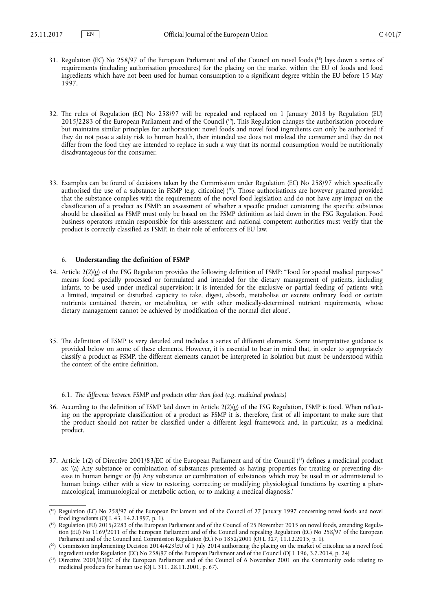- <span id="page-6-0"></span>31. Regulation (EC) No 258/97 of the European Parliament and of the Council on novel foods ( <sup>18</sup>) lays down a series of requirements (including authorisation procedures) for the placing on the market within the EU of foods and food ingredients which have not been used for human consumption to a significant degree within the EU before 15 May 1997.
- 32. The rules of Regulation (EC) No 258/97 will be repealed and replaced on 1 January 2018 by Regulation (EU) 2015/2283 of the European Parliament and of the Council ( <sup>19</sup>). This Regulation changes the authorisation procedure but maintains similar principles for authorisation: novel foods and novel food ingredients can only be authorised if they do not pose a safety risk to human health, their intended use does not mislead the consumer and they do not differ from the food they are intended to replace in such a way that its normal consumption would be nutritionally disadvantageous for the consumer.
- 33. Examples can be found of decisions taken by the Commission under Regulation (EC) No 258/97 which specifically authorised the use of a substance in FSMP (e.g. citicoline) ( <sup>20</sup>). Those authorisations are however granted provided that the substance complies with the requirements of the novel food legislation and do not have any impact on the classification of a product as FSMP: an assessment of whether a specific product containing the specific substance should be classified as FSMP must only be based on the FSMP definition as laid down in the FSG Regulation. Food business operators remain responsible for this assessment and national competent authorities must verify that the product is correctly classified as FSMP, in their role of enforcers of EU law.

#### 6. **Understanding the definition of FSMP**

- 34. Article 2(2)(g) of the FSG Regulation provides the following definition of FSMP: '"food for special medical purposes" means food specially processed or formulated and intended for the dietary management of patients, including infants, to be used under medical supervision; it is intended for the exclusive or partial feeding of patients with a limited, impaired or disturbed capacity to take, digest, absorb, metabolise or excrete ordinary food or certain nutrients contained therein, or metabolites, or with other medically-determined nutrient requirements, whose dietary management cannot be achieved by modification of the normal diet alone'.
- 35. The definition of FSMP is very detailed and includes a series of different elements. Some interpretative guidance is provided below on some of these elements. However, it is essential to bear in mind that, in order to appropriately classify a product as FSMP, the different elements cannot be interpreted in isolation but must be understood within the context of the entire definition.
	- 6.1. *The difference between FSMP and products other than food (e.g. medicinal products)*
- 36. According to the definition of FSMP laid down in Article 2(2)(g) of the FSG Regulation, FSMP is food. When reflecting on the appropriate classification of a product as FSMP it is, therefore, first of all important to make sure that the product should not rather be classified under a different legal framework and, in particular, as a medicinal product.
- 37. Article 1(2) of Directive 2001/83/EC of the European Parliament and of the Council ( <sup>21</sup>) defines a medicinal product as: '(a) Any substance or combination of substances presented as having properties for treating or preventing disease in human beings; or (b) Any substance or combination of substances which may be used in or administered to human beings either with a view to restoring, correcting or modifying physiological functions by exerting a pharmacological, immunological or metabolic action, or to making a medical diagnosis.'

<sup>(</sup> <sup>18</sup>) Regulation (EC) No 258/97 of the European Parliament and of the Council of 27 January 1997 concerning novel foods and novel food ingredients (OJ L 43, 14.2.1997, p. 1).

<sup>(</sup> <sup>19</sup>) Regulation (EU) 2015/2283 of the European Parliament and of the Council of 25 November 2015 on novel foods, amending Regulation (EU) No 1169/2011 of the European Parliament and of the Council and repealing Regulation (EC) No 258/97 of the European Parliament and of the Council and Commission Regulation (EC) No 1852/2001 (OJ L 327, 11.12.2015, p. 1).

<sup>(</sup> <sup>20</sup>) Commission Implementing Decision 2014/423/EU of 1 July 2014 authorising the placing on the market of citicoline as a novel food ingredient under Regulation (EC) No 258/97 of the European Parliament and of the Council (OJ L 196, 3.7.2014, p. 24)

 $(2<sup>1</sup>)$  Directive 2001/83/EC of the European Parliament and of the Council of 6 November 2001 on the Community code relating to medicinal products for human use (OJ L 311, 28.11.2001, p. 67).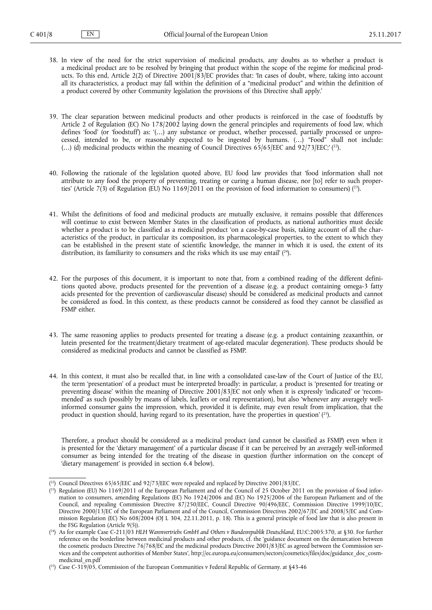- 38. In view of the need for the strict supervision of medicinal products, any doubts as to whether a product is a medicinal product are to be resolved by bringing that product within the scope of the regime for medicinal products. To this end, Article 2(2) of Directive 2001/83/EC provides that: 'In cases of doubt, where, taking into account all its characteristics, a product may fall within the definition of a "medicinal product" and within the definition of a product covered by other Community legislation the provisions of this Directive shall apply.'
- 39. The clear separation between medicinal products and other products is reinforced in the case of foodstuffs by Article 2 of Regulation (EC) No 178/2002 laying down the general principles and requirements of food law, which defines 'food' (or 'foodstuff') as: '(…) any substance or product, whether processed, partially processed or unprocessed, intended to be, or reasonably expected to be ingested by humans. (…) "Food" shall not include:  $(...)$  (d) medicinal products within the meaning of Council Directives 65/65/EEC and 92/73/EEC;'  $(^{22})$ .
- 40. Following the rationale of the legislation quoted above, EU food law provides that 'food information shall not attribute to any food the property of preventing, treating or curing a human disease, nor [to] refer to such properties' (Article 7(3) of Regulation (EU) No 1169/2011 on the provision of food information to consumers) ( <sup>23</sup>).
- 41. Whilst the definitions of food and medicinal products are mutually exclusive, it remains possible that differences will continue to exist between Member States in the classification of products, as national authorities must decide whether a product is to be classified as a medicinal product 'on a case-by-case basis, taking account of all the characteristics of the product, in particular its composition, its pharmacological properties, to the extent to which they can be established in the present state of scientific knowledge, the manner in which it is used, the extent of its distribution, its familiarity to consumers and the risks which its use may entail'  $(^{24})$ .
- 42. For the purposes of this document, it is important to note that, from a combined reading of the different definitions quoted above, products presented for the prevention of a disease (e.g. a product containing omega-3 fatty acids presented for the prevention of cardiovascular disease) should be considered as medicinal products and cannot be considered as food. In this context, as these products cannot be considered as food they cannot be classified as FSMP either.
- 43. The same reasoning applies to products presented for treating a disease (e.g. a product containing zeaxanthin, or lutein presented for the treatment/dietary treatment of age-related macular degeneration). These products should be considered as medicinal products and cannot be classified as FSMP.
- 44. In this context, it must also be recalled that, in line with a consolidated case-law of the Court of Justice of the EU, the term 'presentation' of a product must be interpreted broadly: in particular, a product is 'presented for treating or preventing disease' within the meaning of Directive 2001/83/EC not only when it is expressly 'indicated' or 'recommended' as such (possibly by means of labels, leaflets or oral representation), but also 'whenever any averagely wellinformed consumer gains the impression, which, provided it is definite, may even result from implication, that the product in question should, having regard to its presentation, have the properties in question'  $(^{25})$ .

Therefore, a product should be considered as a medicinal product (and cannot be classified as FSMP) even when it is presented for the 'dietary management' of a particular disease if it can be perceived by an averagely well-informed consumer as being intended for the treating of the disease in question (further information on the concept of 'dietary management' is provided in section 6.4 below).

<sup>(</sup> <sup>22</sup>) Council Directives 65/65/EEC and 92/73/EEC were repealed and replaced by Directive 2001/83/EC.

<sup>(</sup> <sup>23</sup>) Regulation (EU) No 1169/2011 of the European Parliament and of the Council of 25 October 2011 on the provision of food information to consumers, amending Regulations (EC) No 1924/2006 and (EC) No 1925/2006 of the European Parliament and of the Council, and repealing Commission Directive 87/250/EEC, Council Directive 90/496/EEC, Commission Directive 1999/10/EC, Directive 2000/13/EC of the European Parliament and of the Council, Commission Directives 2002/67/EC and 2008/5/EC and Commission Regulation (EC) No 608/2004 (OJ L 304, 22.11.2011, p. 18). This is a general principle of food law that is also present in the FSG Regulation (Article 9(5)).

<sup>(</sup> <sup>24</sup>) As for example Case C-211/03 *HLH Warenvertriebs GmbH and Others v Bundesrepublik Deutschland*, EU:C:2005:370, at §30. For further reference on the borderline between medicinal products and other products, cf. the 'guidance document on the demarcation between the cosmetic products Directive 76/768/EC and the medicinal products Directive 2001/83/EC as agreed between the Commission ser[vices and the competent authorities of Member States', http://ec.europa.eu/consumers/sectors/cosmetics/files/doc/guidance\\_doc\\_cosm](http://ec.europa.eu/consumers/sectors/cosmetics/files/doc/guidance_doc_cosm-medicinal_en.pdf)medicinal\_en.pdf

<sup>(</sup> $^{25}$ ) Case C-319/05, Commission of the European Communities v Federal Republic of Germany. at §43-46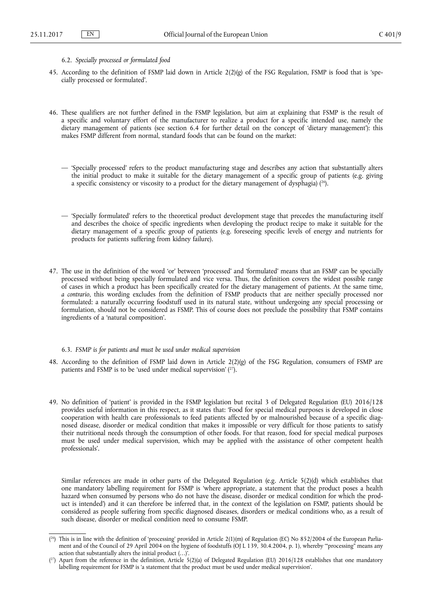- <span id="page-8-0"></span>6.2. *Specially processed or formulated food*
- 45. According to the definition of FSMP laid down in Article 2(2)(g) of the FSG Regulation, FSMP is food that is 'specially processed or formulated'.
- 46. These qualifiers are not further defined in the FSMP legislation, but aim at explaining that FSMP is the result of a specific and voluntary effort of the manufacturer to realize a product for a specific intended use, namely the dietary management of patients (see section 6.4 for further detail on the concept of 'dietary management'): this makes FSMP different from normal, standard foods that can be found on the market:
	- 'Specially processed' refers to the product manufacturing stage and describes any action that substantially alters the initial product to make it suitable for the dietary management of a specific group of patients (e.g. giving a specific consistency or viscosity to a product for the dietary management of dysphagia)  $(^{26})$ .
	- 'Specially formulated' refers to the theoretical product development stage that precedes the manufacturing itself and describes the choice of specific ingredients when developing the product recipe to make it suitable for the dietary management of a specific group of patients (e.g. foreseeing specific levels of energy and nutrients for products for patients suffering from kidney failure).
- 47. The use in the definition of the word 'or' between 'processed' and 'formulated' means that an FSMP can be specially processed without being specially formulated and vice versa. Thus, the definition covers the widest possible range of cases in which a product has been specifically created for the dietary management of patients. At the same time, *a contrario*, this wording excludes from the definition of FSMP products that are neither specially processed nor formulated: a naturally occurring foodstuff used in its natural state, without undergoing any special processing or formulation, should not be considered as FSMP. This of course does not preclude the possibility that FSMP contains ingredients of a 'natural composition'.

#### 6.3. *FSMP is for patients and must be used under medical supervision*

- 48. According to the definition of FSMP laid down in Article 2(2)(g) of the FSG Regulation, consumers of FSMP are patients and FSMP is to be 'used under medical supervision' ( <sup>27</sup>).
- 49. No definition of 'patient' is provided in the FSMP legislation but recital 3 of Delegated Regulation (EU) 2016/128 provides useful information in this respect, as it states that: 'Food for special medical purposes is developed in close cooperation with health care professionals to feed patients affected by or malnourished because of a specific diagnosed disease, disorder or medical condition that makes it impossible or very difficult for those patients to satisfy their nutritional needs through the consumption of other foods. For that reason, food for special medical purposes must be used under medical supervision, which may be applied with the assistance of other competent health professionals'.

Similar references are made in other parts of the Delegated Regulation (e.g. Article 5(2)(d) which establishes that one mandatory labelling requirement for FSMP is 'where appropriate, a statement that the product poses a health hazard when consumed by persons who do not have the disease, disorder or medical condition for which the product is intended') and it can therefore be inferred that, in the context of the legislation on FSMP, patients should be considered as people suffering from specific diagnosed diseases, disorders or medical conditions who, as a result of such disease, disorder or medical condition need to consume FSMP.

<sup>(</sup> <sup>26</sup>) This is in line with the definition of 'processing' provided in Article 2(1)(m) of Regulation (EC) No 852/2004 of the European Parliament and of the Council of 29 April 2004 on the hygiene of foodstuffs (OJ L 139, 30.4.2004, p. 1), whereby "processing" means any action that substantially alters the initial product  $(\ldots)$ .

 $(2^7)$  Apart from the reference in the definition, Article 5(2)(a) of Delegated Regulation (EU) 2016/128 establishes that one mandatory labelling requirement for FSMP is 'a statement that the product must be used under medical supervision'.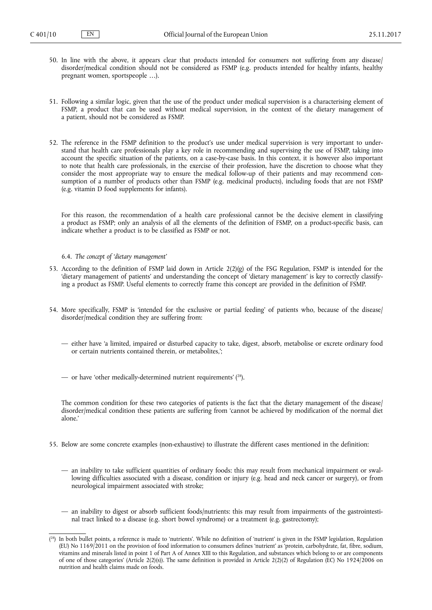- <span id="page-9-0"></span>50. In line with the above, it appears clear that products intended for consumers not suffering from any disease/ disorder/medical condition should not be considered as FSMP (e.g. products intended for healthy infants, healthy pregnant women, sportspeople …).
- 51. Following a similar logic, given that the use of the product under medical supervision is a characterising element of FSMP, a product that can be used without medical supervision, in the context of the dietary management of a patient, should not be considered as FSMP.
- 52. The reference in the FSMP definition to the product's use under medical supervision is very important to understand that health care professionals play a key role in recommending and supervising the use of FSMP, taking into account the specific situation of the patients, on a case-by-case basis. In this context, it is however also important to note that health care professionals, in the exercise of their profession, have the discretion to choose what they consider the most appropriate way to ensure the medical follow-up of their patients and may recommend consumption of a number of products other than FSMP (e.g. medicinal products), including foods that are not FSMP (e.g. vitamin D food supplements for infants).

For this reason, the recommendation of a health care professional cannot be the decisive element in classifying a product as FSMP; only an analysis of all the elements of the definition of FSMP, on a product-specific basis, can indicate whether a product is to be classified as FSMP or not.

6.4. *The concept of 'dietary management'*

- 53. According to the definition of FSMP laid down in Article 2(2)(g) of the FSG Regulation, FSMP is intended for the 'dietary management of patients' and understanding the concept of 'dietary management' is key to correctly classifying a product as FSMP. Useful elements to correctly frame this concept are provided in the definition of FSMP.
- 54. More specifically, FSMP is 'intended for the exclusive or partial feeding' of patients who, because of the disease/ disorder/medical condition they are suffering from:
	- either have 'a limited, impaired or disturbed capacity to take, digest, absorb, metabolise or excrete ordinary food or certain nutrients contained therein, or metabolites,';
	- or have 'other medically-determined nutrient requirements' ( <sup>28</sup>).

The common condition for these two categories of patients is the fact that the dietary management of the disease/ disorder/medical condition these patients are suffering from 'cannot be achieved by modification of the normal diet alone.'

- 55. Below are some concrete examples (non-exhaustive) to illustrate the different cases mentioned in the definition:
	- an inability to take sufficient quantities of ordinary foods: this may result from mechanical impairment or swallowing difficulties associated with a disease, condition or injury (e.g. head and neck cancer or surgery), or from neurological impairment associated with stroke;
	- an inability to digest or absorb sufficient foods/nutrients: this may result from impairments of the gastrointestinal tract linked to a disease (e.g. short bowel syndrome) or a treatment (e.g. gastrectomy);

<sup>(</sup> <sup>28</sup>) In both bullet points, a reference is made to 'nutrients'. While no definition of 'nutrient' is given in the FSMP legislation, Regulation (EU) No 1169/2011 on the provision of food information to consumers defines 'nutrient' as 'protein, carbohydrate, fat, fibre, sodium, vitamins and minerals listed in point 1 of Part A of Annex XIII to this Regulation, and substances which belong to or are components of one of those categories' (Article 2(2)(s)). The same definition is provided in Article 2(2)(2) of Regulation (EC) No 1924/2006 on nutrition and health claims made on foods.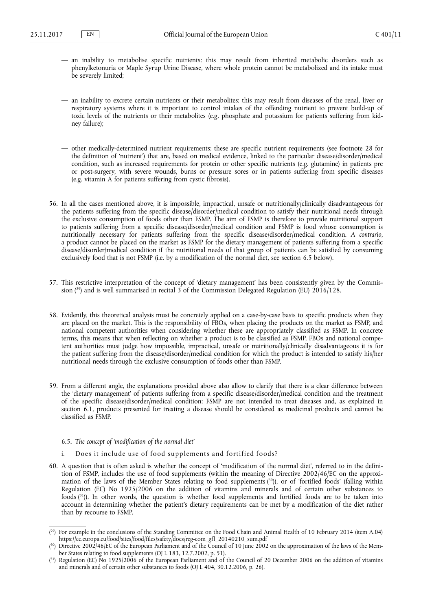- <span id="page-10-0"></span>— an inability to metabolise specific nutrients: this may result from inherited metabolic disorders such as phenylketonuria or Maple Syrup Urine Disease, where whole protein cannot be metabolized and its intake must be severely limited;
- an inability to excrete certain nutrients or their metabolites: this may result from diseases of the renal, liver or respiratory systems where it is important to control intakes of the offending nutrient to prevent build-up of toxic levels of the nutrients or their metabolites (e.g. phosphate and potassium for patients suffering from kidney failure);
- other medically-determined nutrient requirements: these are specific nutrient requirements (see footnote 28 for the definition of 'nutrient') that are, based on medical evidence, linked to the particular disease/disorder/medical condition, such as increased requirements for protein or other specific nutrients (e.g. glutamine) in patients pre or post-surgery, with severe wounds, burns or pressure sores or in patients suffering from specific diseases (e.g. vitamin A for patients suffering from cystic fibrosis).
- 56. In all the cases mentioned above, it is impossible, impractical, unsafe or nutritionally/clinically disadvantageous for the patients suffering from the specific disease/disorder/medical condition to satisfy their nutritional needs through the exclusive consumption of foods other than FSMP. The aim of FSMP is therefore to provide nutritional support to patients suffering from a specific disease/disorder/medical condition and FSMP is food whose consumption is nutritionally necessary for patients suffering from the specific disease/disorder/medical condition. *A contrario*, a product cannot be placed on the market as FSMP for the dietary management of patients suffering from a specific disease/disorder/medical condition if the nutritional needs of that group of patients can be satisfied by consuming exclusively food that is not FSMP (i.e. by a modification of the normal diet, see section 6.5 below).
- 57. This restrictive interpretation of the concept of 'dietary management' has been consistently given by the Commission ( <sup>29</sup>) and is well summarised in recital 3 of the Commission Delegated Regulation (EU) 2016/128.
- 58. Evidently, this theoretical analysis must be concretely applied on a case-by-case basis to specific products when they are placed on the market. This is the responsibility of FBOs, when placing the products on the market as FSMP, and national competent authorities when considering whether these are appropriately classified as FSMP. In concrete terms, this means that when reflecting on whether a product is to be classified as FSMP, FBOs and national competent authorities must judge how impossible, impractical, unsafe or nutritionally/clinically disadvantageous it is for the patient suffering from the disease/disorder/medical condition for which the product is intended to satisfy his/her nutritional needs through the exclusive consumption of foods other than FSMP.
- 59. From a different angle, the explanations provided above also allow to clarify that there is a clear difference between the 'dietary management' of patients suffering from a specific disease/disorder/medical condition and the treatment of the specific disease/disorder/medical condition: FSMP are not intended to treat diseases and, as explained in section 6.1, products presented for treating a disease should be considered as medicinal products and cannot be classified as FSMP.

#### 6.5. *The concept of 'modification of the normal diet'*

- Does it include use of food supplements and fortified foods?
- 60. A question that is often asked is whether the concept of 'modification of the normal diet', referred to in the definition of FSMP, includes the use of food supplements (within the meaning of Directive 2002/46/EC on the approximation of the laws of the Member States relating to food supplements ( <sup>30</sup>)), or of 'fortified foods' (falling within Regulation (EC) No 1925/2006 on the addition of vitamins and minerals and of certain other substances to foods ( <sup>31</sup>)). In other words, the question is whether food supplements and fortified foods are to be taken into account in determining whether the patient's dietary requirements can be met by a modification of the diet rather than by recourse to FSMP.

<sup>(</sup> <sup>29</sup>) For example in the conclusions of the Standing Committee on the Food Chain and Animal Health of 10 February 2014 (item A.04) [https://ec.europa.eu/food/sites/food/files/safety/docs/reg-com\\_gfl\\_20140210\\_sum.pdf](https://ec.europa.eu/food/sites/food/files/safety/docs/reg-com_gfl_20140210_sum.pdf)

<sup>(</sup> <sup>30</sup>) Directive 2002/46/EC of the European Parliament and of the Council of 10 June 2002 on the approximation of the laws of the Member States relating to food supplements (OJ L 183, 12.7.2002, p. 51).

<sup>&</sup>lt;sup>{31}</sup> Regulation (EC) No 1925/2006 of the European Parliament and of the Council of 20 December 2006 on the addition of vitamins and minerals and of certain other substances to foods (OJ L 404, 30.12.2006, p. 26).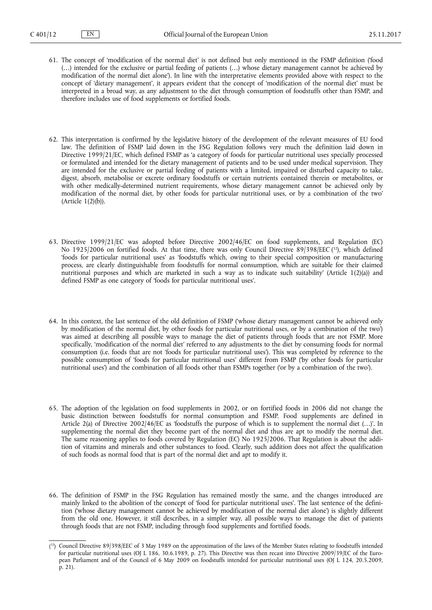- 61. The concept of 'modification of the normal diet' is not defined but only mentioned in the FSMP definition ('food (…) intended for the exclusive or partial feeding of patients (…) whose dietary management cannot be achieved by modification of the normal diet alone'). In line with the interpretative elements provided above with respect to the concept of 'dietary management', it appears evident that the concept of 'modification of the normal diet' must be interpreted in a broad way, as any adjustment to the diet through consumption of foodstuffs other than FSMP, and therefore includes use of food supplements or fortified foods.
- 62. This interpretation is confirmed by the legislative history of the development of the relevant measures of EU food law. The definition of FSMP laid down in the FSG Regulation follows very much the definition laid down in Directive 1999/21/EC, which defined FSMP as 'a category of foods for particular nutritional uses specially processed or formulated and intended for the dietary management of patients and to be used under medical supervision. They are intended for the exclusive or partial feeding of patients with a limited, impaired or disturbed capacity to take, digest, absorb, metabolise or excrete ordinary foodstuffs or certain nutrients contained therein or metabolites, or with other medically-determined nutrient requirements, whose dietary management cannot be achieved only by modification of the normal diet, by other foods for particular nutritional uses, or by a combination of the two' (Article 1(2)(b)).
- 63. Directive 1999/21/EC was adopted before Directive 2002/46/EC on food supplements, and Regulation (EC) No 1925/2006 on fortified foods. At that time, there was only Council Directive 89/398/EEC  $(^{32})$ , which defined 'foods for particular nutritional uses' as 'foodstuffs which, owing to their special composition or manufacturing process, are clearly distinguishable from foodstuffs for normal consumption, which are suitable for their claimed nutritional purposes and which are marketed in such a way as to indicate such suitability' (Article 1(2)(a)) and defined FSMP as one category of 'foods for particular nutritional uses'.
- 64. In this context, the last sentence of the old definition of FSMP ('whose dietary management cannot be achieved only by modification of the normal diet, by other foods for particular nutritional uses, or by a combination of the two') was aimed at describing all possible ways to manage the diet of patients through foods that are not FSMP. More specifically, 'modification of the normal diet' referred to any adjustments to the diet by consuming foods for normal consumption (i.e. foods that are not 'foods for particular nutritional uses'). This was completed by reference to the possible consumption of 'foods for particular nutritional uses' different from FSMP ('by other foods for particular nutritional uses') and the combination of all foods other than FSMPs together ('or by a combination of the two').
- 65. The adoption of the legislation on food supplements in 2002, or on fortified foods in 2006 did not change the basic distinction between foodstuffs for normal consumption and FSMP. Food supplements are defined in Article 2(a) of Directive 2002/46/EC as 'foodstuffs the purpose of which is to supplement the normal diet (…)'. In supplementing the normal diet they become part of the normal diet and thus are apt to modify the normal diet. The same reasoning applies to foods covered by Regulation (EC) No 1925/2006. That Regulation is about the addition of vitamins and minerals and other substances to food. Clearly, such addition does not affect the qualification of such foods as normal food that is part of the normal diet and apt to modify it.
- 66. The definition of FSMP in the FSG Regulation has remained mostly the same, and the changes introduced are mainly linked to the abolition of the concept of 'food for particular nutritional uses'. The last sentence of the definition ('whose dietary management cannot be achieved by modification of the normal diet alone') is slightly different from the old one. However, it still describes, in a simpler way, all possible ways to manage the diet of patients through foods that are not FSMP, including through food supplements and fortified foods.

<sup>(</sup> <sup>32</sup>) Council Directive 89/398/EEC of 3 May 1989 on the approximation of the laws of the Member States relating to foodstuffs intended for particular nutritional uses (OJ L 186, 30.6.1989, p. 27). This Directive was then recast into Directive 2009/39/EC of the European Parliament and of the Council of 6 May 2009 on foodstuffs intended for particular nutritional uses (OJ L 124, 20.5.2009, p. 21).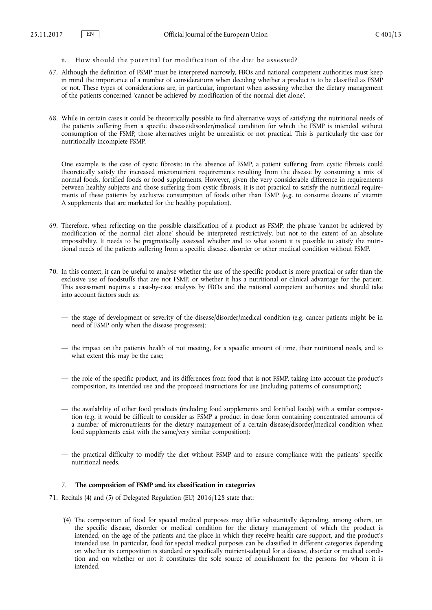- <span id="page-12-0"></span>ii. How should the potential for modification of the diet be assessed?
- 67. Although the definition of FSMP must be interpreted narrowly, FBOs and national competent authorities must keep in mind the importance of a number of considerations when deciding whether a product is to be classified as FSMP or not. These types of considerations are, in particular, important when assessing whether the dietary management of the patients concerned 'cannot be achieved by modification of the normal diet alone'.
- 68. While in certain cases it could be theoretically possible to find alternative ways of satisfying the nutritional needs of the patients suffering from a specific disease/disorder/medical condition for which the FSMP is intended without consumption of the FSMP, those alternatives might be unrealistic or not practical. This is particularly the case for nutritionally incomplete FSMP.

One example is the case of cystic fibrosis: in the absence of FSMP, a patient suffering from cystic fibrosis could theoretically satisfy the increased micronutrient requirements resulting from the disease by consuming a mix of normal foods, fortified foods or food supplements. However, given the very considerable difference in requirements between healthy subjects and those suffering from cystic fibrosis, it is not practical to satisfy the nutritional requirements of these patients by exclusive consumption of foods other than FSMP (e.g. to consume dozens of vitamin A supplements that are marketed for the healthy population).

- 69. Therefore, when reflecting on the possible classification of a product as FSMP, the phrase 'cannot be achieved by modification of the normal diet alone' should be interpreted restrictively, but not to the extent of an absolute impossibility. It needs to be pragmatically assessed whether and to what extent it is possible to satisfy the nutritional needs of the patients suffering from a specific disease, disorder or other medical condition without FSMP.
- 70. In this context, it can be useful to analyse whether the use of the specific product is more practical or safer than the exclusive use of foodstuffs that are not FSMP, or whether it has a nutritional or clinical advantage for the patient. This assessment requires a case-by-case analysis by FBOs and the national competent authorities and should take into account factors such as:
	- the stage of development or severity of the disease/disorder/medical condition (e.g. cancer patients might be in need of FSMP only when the disease progresses);
	- the impact on the patients' health of not meeting, for a specific amount of time, their nutritional needs, and to what extent this may be the case;
	- the role of the specific product, and its differences from food that is not FSMP, taking into account the product's composition, its intended use and the proposed instructions for use (including patterns of consumption);
	- the availability of other food products (including food supplements and fortified foods) with a similar composition (e.g. it would be difficult to consider as FSMP a product in dose form containing concentrated amounts of a number of micronutrients for the dietary management of a certain disease/disorder/medical condition when food supplements exist with the same/very similar composition);
	- the practical difficulty to modify the diet without FSMP and to ensure compliance with the patients' specific nutritional needs.

#### 7. **The composition of FSMP and its classification in categories**

- 71. Recitals (4) and (5) of Delegated Regulation (EU) 2016/128 state that:
	- '(4) The composition of food for special medical purposes may differ substantially depending, among others, on the specific disease, disorder or medical condition for the dietary management of which the product is intended, on the age of the patients and the place in which they receive health care support, and the product's intended use. In particular, food for special medical purposes can be classified in different categories depending on whether its composition is standard or specifically nutrient-adapted for a disease, disorder or medical condition and on whether or not it constitutes the sole source of nourishment for the persons for whom it is intended.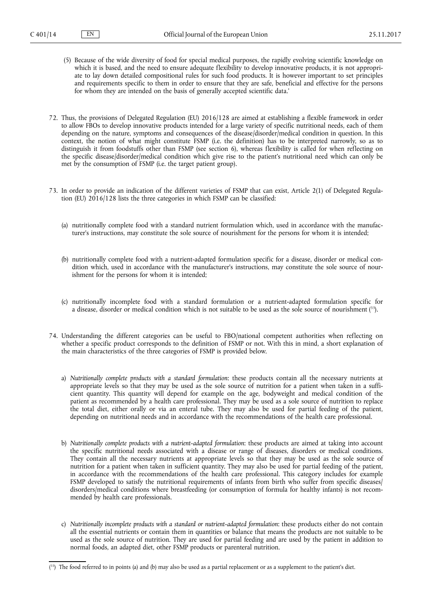- (5) Because of the wide diversity of food for special medical purposes, the rapidly evolving scientific knowledge on which it is based, and the need to ensure adequate flexibility to develop innovative products, it is not appropriate to lay down detailed compositional rules for such food products. It is however important to set principles and requirements specific to them in order to ensure that they are safe, beneficial and effective for the persons for whom they are intended on the basis of generally accepted scientific data.'
- 72. Thus, the provisions of Delegated Regulation (EU) 2016/128 are aimed at establishing a flexible framework in order to allow FBOs to develop innovative products intended for a large variety of specific nutritional needs, each of them depending on the nature, symptoms and consequences of the disease/disorder/medical condition in question. In this context, the notion of what might constitute FSMP (i.e. the definition) has to be interpreted narrowly, so as to distinguish it from foodstuffs other than FSMP (see section 6), whereas flexibility is called for when reflecting on the specific disease/disorder/medical condition which give rise to the patient's nutritional need which can only be met by the consumption of FSMP (i.e. the target patient group).
- 73. In order to provide an indication of the different varieties of FSMP that can exist, Article 2(1) of Delegated Regulation (EU)  $2016/128$  lists the three categories in which FSMP can be classified:
	- (a) nutritionally complete food with a standard nutrient formulation which, used in accordance with the manufacturer's instructions, may constitute the sole source of nourishment for the persons for whom it is intended;
	- (b) nutritionally complete food with a nutrient-adapted formulation specific for a disease, disorder or medical condition which, used in accordance with the manufacturer's instructions, may constitute the sole source of nourishment for the persons for whom it is intended;
	- (c) nutritionally incomplete food with a standard formulation or a nutrient-adapted formulation specific for a disease, disorder or medical condition which is not suitable to be used as the sole source of nourishment ( <sup>33</sup>).
- 74. Understanding the different categories can be useful to FBO/national competent authorities when reflecting on whether a specific product corresponds to the definition of FSMP or not. With this in mind, a short explanation of the main characteristics of the three categories of FSMP is provided below.
	- a) *Nutritionally complete products with a standard formulation*: these products contain all the necessary nutrients at appropriate levels so that they may be used as the sole source of nutrition for a patient when taken in a sufficient quantity. This quantity will depend for example on the age, bodyweight and medical condition of the patient as recommended by a health care professional. They may be used as a sole source of nutrition to replace the total diet, either orally or via an enteral tube. They may also be used for partial feeding of the patient, depending on nutritional needs and in accordance with the recommendations of the health care professional.
	- b) *Nutritionally complete products with a nutrient-adapted formulation*: these products are aimed at taking into account the specific nutritional needs associated with a disease or range of diseases, disorders or medical conditions. They contain all the necessary nutrients at appropriate levels so that they may be used as the sole source of nutrition for a patient when taken in sufficient quantity. They may also be used for partial feeding of the patient, in accordance with the recommendations of the health care professional. This category includes for example FSMP developed to satisfy the nutritional requirements of infants from birth who suffer from specific diseases/ disorders/medical conditions where breastfeeding (or consumption of formula for healthy infants) is not recommended by health care professionals.
	- c) *Nutritionally incomplete products with a standard or nutrient-adapted formulation*: these products either do not contain all the essential nutrients or contain them in quantities or balance that means the products are not suitable to be used as the sole source of nutrition. They are used for partial feeding and are used by the patient in addition to normal foods, an adapted diet, other FSMP products or parenteral nutrition.

<sup>(</sup> <sup>33</sup>) The food referred to in points (a) and (b) may also be used as a partial replacement or as a supplement to the patient's diet.